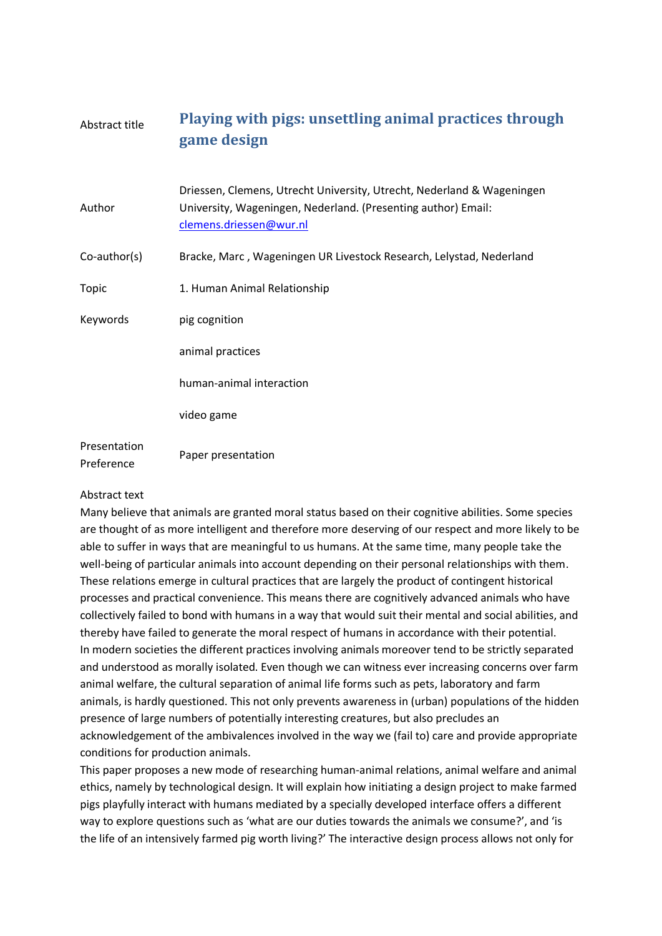## Abstract title **Playing with pigs: unsettling animal practices through game design**

| Author                     | Driessen, Clemens, Utrecht University, Utrecht, Nederland & Wageningen<br>University, Wageningen, Nederland. (Presenting author) Email:<br>clemens.driessen@wur.nl |
|----------------------------|--------------------------------------------------------------------------------------------------------------------------------------------------------------------|
| $Co$ -author(s)            | Bracke, Marc, Wageningen UR Livestock Research, Lelystad, Nederland                                                                                                |
| Topic                      | 1. Human Animal Relationship                                                                                                                                       |
| Keywords                   | pig cognition                                                                                                                                                      |
|                            | animal practices                                                                                                                                                   |
|                            | human-animal interaction                                                                                                                                           |
|                            | video game                                                                                                                                                         |
| Presentation<br>Preference | Paper presentation                                                                                                                                                 |

## Abstract text

Many believe that animals are granted moral status based on their cognitive abilities. Some species are thought of as more intelligent and therefore more deserving of our respect and more likely to be able to suffer in ways that are meaningful to us humans. At the same time, many people take the well-being of particular animals into account depending on their personal relationships with them. These relations emerge in cultural practices that are largely the product of contingent historical processes and practical convenience. This means there are cognitively advanced animals who have collectively failed to bond with humans in a way that would suit their mental and social abilities, and thereby have failed to generate the moral respect of humans in accordance with their potential. In modern societies the different practices involving animals moreover tend to be strictly separated and understood as morally isolated. Even though we can witness ever increasing concerns over farm animal welfare, the cultural separation of animal life forms such as pets, laboratory and farm animals, is hardly questioned. This not only prevents awareness in (urban) populations of the hidden presence of large numbers of potentially interesting creatures, but also precludes an acknowledgement of the ambivalences involved in the way we (fail to) care and provide appropriate conditions for production animals.

This paper proposes a new mode of researching human-animal relations, animal welfare and animal ethics, namely by technological design. It will explain how initiating a design project to make farmed pigs playfully interact with humans mediated by a specially developed interface offers a different way to explore questions such as 'what are our duties towards the animals we consume?', and 'is the life of an intensively farmed pig worth living?' The interactive design process allows not only for